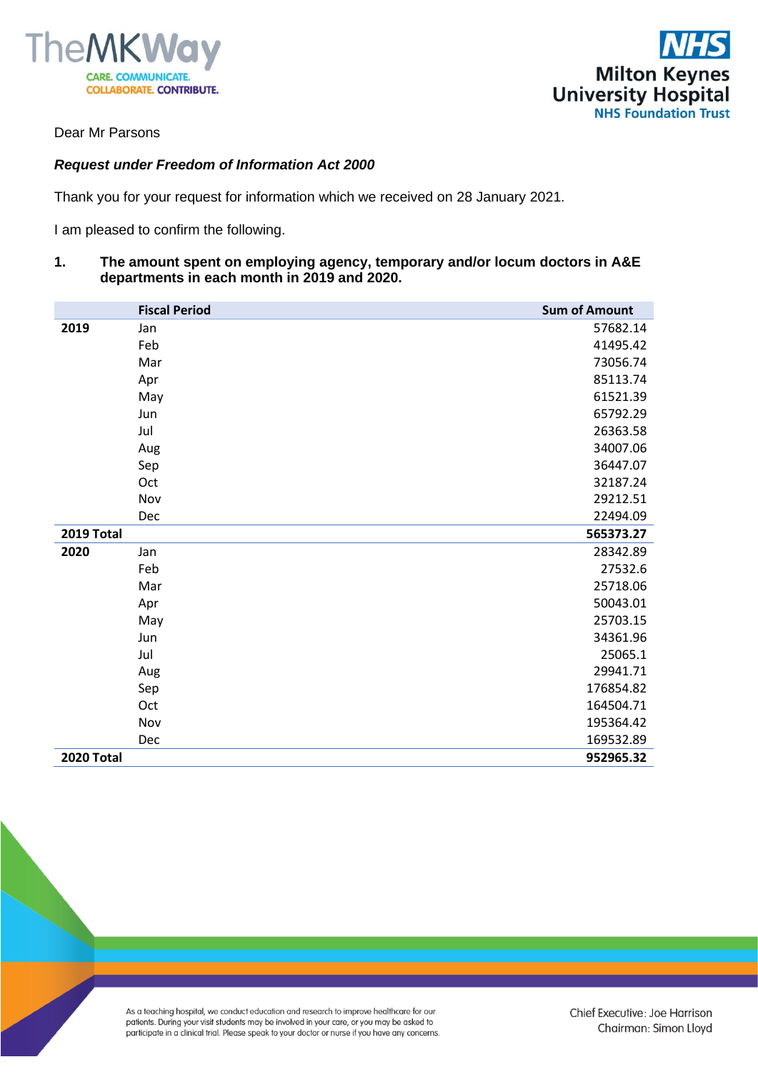



Dear Mr Parsons

## *Request under Freedom of Information Act 2000*

Thank you for your request for information which we received on 28 January 2021.

I am pleased to confirm the following.

**1. The amount spent on employing agency, temporary and/or locum doctors in A&E departments in each month in 2019 and 2020.**

|                   | <b>Fiscal Period</b> | <b>Sum of Amount</b> |
|-------------------|----------------------|----------------------|
| 2019              | Jan                  | 57682.14             |
|                   | Feb                  | 41495.42             |
|                   | Mar                  | 73056.74             |
|                   | Apr                  | 85113.74             |
|                   | May                  | 61521.39             |
|                   | Jun                  | 65792.29             |
|                   | Jul                  | 26363.58             |
|                   | Aug                  | 34007.06             |
|                   | Sep                  | 36447.07             |
|                   | Oct                  | 32187.24             |
|                   | Nov                  | 29212.51             |
|                   | Dec                  | 22494.09             |
| 2019 Total        |                      | 565373.27            |
| 2020              | Jan                  | 28342.89             |
|                   | Feb                  | 27532.6              |
|                   | Mar                  | 25718.06             |
|                   | Apr                  | 50043.01             |
|                   | May                  | 25703.15             |
|                   | Jun                  | 34361.96             |
|                   | Jul                  | 25065.1              |
|                   | Aug                  | 29941.71             |
|                   | Sep                  | 176854.82            |
|                   | Oct                  | 164504.71            |
|                   | Nov                  | 195364.42            |
|                   | Dec                  | 169532.89            |
| <b>2020 Total</b> |                      | 952965.32            |

As a teaching hospital, we conduct education and research to improve healthcare for our patients. During your visit students may be involved in your care, or you may be asked to participate in a clinical trial. Please speak to your doctor or nurse if you have any concerns.